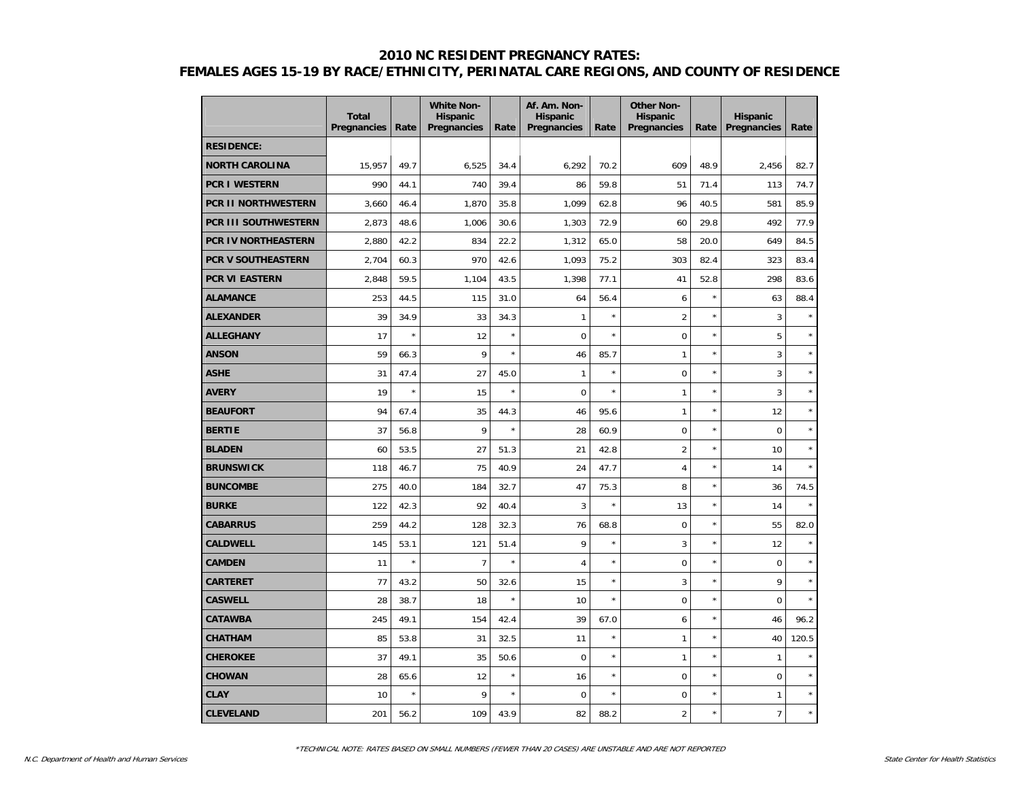|                             | <b>Total</b><br>Pregnancies | Rate    | <b>White Non-</b><br><b>Hispanic</b><br>Pregnancies | Rate    | Af. Am. Non-<br><b>Hispanic</b><br>Pregnancies | Rate       | <b>Other Non-</b><br><b>Hispanic</b><br>Pregnancies | Rate    | <b>Hispanic</b><br>Pregnancies | Rate    |
|-----------------------------|-----------------------------|---------|-----------------------------------------------------|---------|------------------------------------------------|------------|-----------------------------------------------------|---------|--------------------------------|---------|
| <b>RESIDENCE:</b>           |                             |         |                                                     |         |                                                |            |                                                     |         |                                |         |
| <b>NORTH CAROLINA</b>       | 15,957                      | 49.7    | 6,525                                               | 34.4    | 6,292                                          | 70.2       | 609                                                 | 48.9    | 2,456                          | 82.7    |
| <b>PCR I WESTERN</b>        | 990                         | 44.1    | 740                                                 | 39.4    | 86                                             | 59.8       | 51                                                  | 71.4    | 113                            | 74.7    |
| <b>PCR II NORTHWESTERN</b>  | 3,660                       | 46.4    | 1,870                                               | 35.8    | 1,099                                          | 62.8       | 96                                                  | 40.5    | 581                            | 85.9    |
| <b>PCR III SOUTHWESTERN</b> | 2,873                       | 48.6    | 1,006                                               | 30.6    | 1,303                                          | 72.9       | 60                                                  | 29.8    | 492                            | 77.9    |
| <b>PCR IV NORTHEASTERN</b>  | 2,880                       | 42.2    | 834                                                 | 22.2    | 1,312                                          | 65.0       | 58                                                  | 20.0    | 649                            | 84.5    |
| <b>PCR V SOUTHEASTERN</b>   | 2,704                       | 60.3    | 970                                                 | 42.6    | 1,093                                          | 75.2       | 303                                                 | 82.4    | 323                            | 83.4    |
| <b>PCR VI EASTERN</b>       | 2,848                       | 59.5    | 1,104                                               | 43.5    | 1,398                                          | 77.1       | 41                                                  | 52.8    | 298                            | 83.6    |
| <b>ALAMANCE</b>             | 253                         | 44.5    | 115                                                 | 31.0    | 64                                             | 56.4       | 6                                                   | $\star$ | 63                             | 88.4    |
| <b>ALEXANDER</b>            | 39                          | 34.9    | 33                                                  | 34.3    | 1                                              | $\star$    | $\overline{2}$                                      | $\star$ | 3                              | $\star$ |
| <b>ALLEGHANY</b>            | 17                          | $\star$ | 12                                                  | $\star$ | $\overline{0}$                                 | $\star$    | $\mathbf 0$                                         | $\star$ | 5                              | $\star$ |
| <b>ANSON</b>                | 59                          | 66.3    | 9                                                   | $\star$ | 46                                             | 85.7       | $\mathbf{1}$                                        | $\star$ | 3                              | $\star$ |
| <b>ASHE</b>                 | 31                          | 47.4    | 27                                                  | 45.0    | $\mathbf{1}$                                   | $\star$    | $\mathbf 0$                                         | $\star$ | 3                              | $\star$ |
| <b>AVERY</b>                | 19                          | $\star$ | 15                                                  | $\star$ | $\mathbf 0$                                    | $\star$    | $\mathbf{1}$                                        | $\star$ | 3                              | $\star$ |
| <b>BEAUFORT</b>             | 94                          | 67.4    | 35                                                  | 44.3    | 46                                             | 95.6       | $\mathbf{1}$                                        | $\star$ | 12                             | $\star$ |
| <b>BERTIE</b>               | 37                          | 56.8    | 9                                                   | $\star$ | 28                                             | 60.9       | $\mathbf 0$                                         | $\star$ | $\mathbf 0$                    | $\star$ |
| <b>BLADEN</b>               | 60                          | 53.5    | 27                                                  | 51.3    | 21                                             | 42.8       | $\overline{2}$                                      | $\star$ | 10                             | $\star$ |
| <b>BRUNSWICK</b>            | 118                         | 46.7    | 75                                                  | 40.9    | 24                                             | 47.7       | $\overline{4}$                                      | $\star$ | 14                             | $\star$ |
| <b>BUNCOMBE</b>             | 275                         | 40.0    | 184                                                 | 32.7    | 47                                             | 75.3       | 8                                                   | $\star$ | 36                             | 74.5    |
| <b>BURKE</b>                | 122                         | 42.3    | 92                                                  | 40.4    | 3                                              | $\star$    | 13                                                  | $\star$ | 14                             | $\star$ |
| <b>CABARRUS</b>             | 259                         | 44.2    | 128                                                 | 32.3    | 76                                             | 68.8       | $\mathbf 0$                                         | $\star$ | 55                             | 82.0    |
| <b>CALDWELL</b>             | 145                         | 53.1    | 121                                                 | 51.4    | 9                                              | $\star$    | 3                                                   | $\star$ | 12                             | $\star$ |
| <b>CAMDEN</b>               | 11                          | $\star$ | $\overline{7}$                                      | $\star$ | $\overline{4}$                                 | $\star$    | $\mathbf 0$                                         | $\star$ | $\mathbf 0$                    | $\star$ |
| <b>CARTERET</b>             | 77                          | 43.2    | 50                                                  | 32.6    | 15                                             | $\star$    | 3                                                   | $\star$ | 9                              | $\star$ |
| <b>CASWELL</b>              | 28                          | 38.7    | 18                                                  | $\star$ | 10                                             | $\star$    | $\boldsymbol{0}$                                    | $\star$ | $\Omega$                       | $\star$ |
| <b>CATAWBA</b>              | 245                         | 49.1    | 154                                                 | 42.4    | 39                                             | 67.0       | 6                                                   | $\star$ | 46                             | 96.2    |
| <b>CHATHAM</b>              | 85                          | 53.8    | 31                                                  | 32.5    | 11                                             | $^{\star}$ | $\mathbf{1}$                                        | $\star$ | 40                             | 120.5   |
| <b>CHEROKEE</b>             | 37                          | 49.1    | 35                                                  | 50.6    | $\overline{0}$                                 | $\star$    | $\mathbf{1}$                                        | $\star$ | $\mathbf{1}$                   | $\star$ |
| <b>CHOWAN</b>               | 28                          | 65.6    | 12                                                  | $\star$ | 16                                             | $\star$    | $\mathbf 0$                                         | $\star$ | $\mathbf 0$                    | $\star$ |
| <b>CLAY</b>                 | 10                          | $\star$ | 9                                                   | $\star$ | $\mathbf 0$                                    | $\star$    | $\mathbf 0$                                         | $\star$ | $\mathbf{1}$                   | $\star$ |
| <b>CLEVELAND</b>            | 201                         | 56.2    | 109                                                 | 43.9    | 82                                             | 88.2       | $\overline{2}$                                      | $\star$ | $\overline{7}$                 | $\star$ |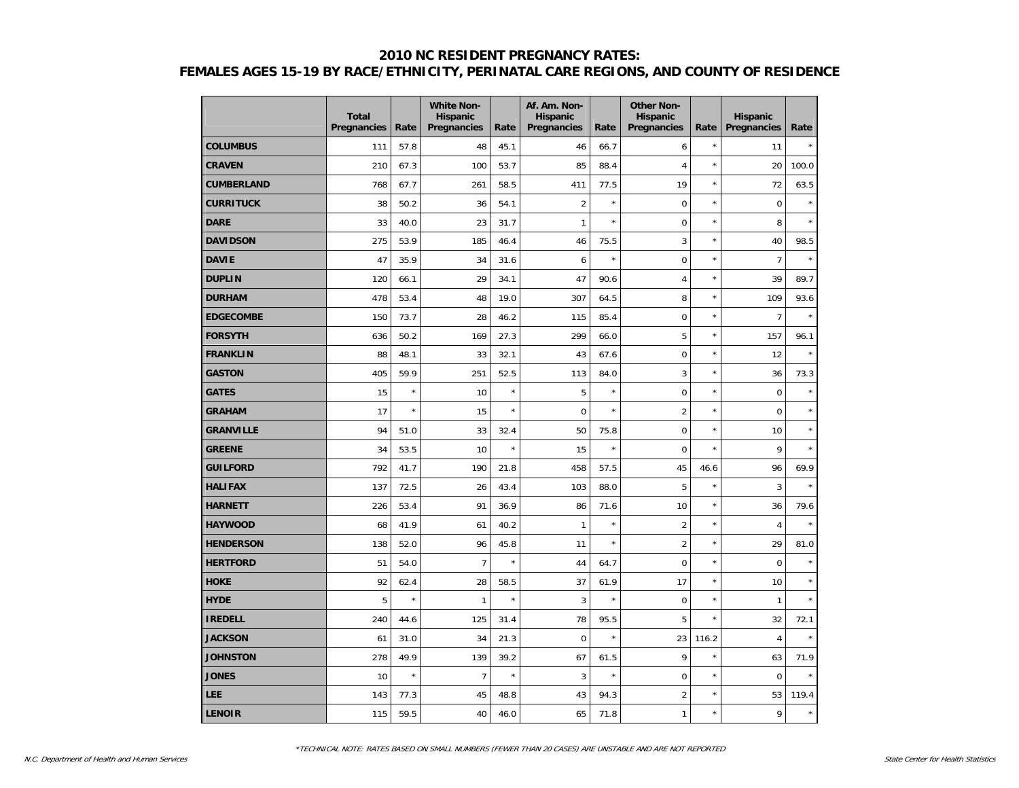|                   | <b>Total</b><br>Pregnancies | Rate    | <b>White Non-</b><br><b>Hispanic</b><br>Pregnancies | Rate    | Af. Am. Non-<br><b>Hispanic</b><br>Pregnancies | Rate    | <b>Other Non-</b><br><b>Hispanic</b><br>Pregnancies | Rate    | <b>Hispanic</b><br>Pregnancies | Rate    |
|-------------------|-----------------------------|---------|-----------------------------------------------------|---------|------------------------------------------------|---------|-----------------------------------------------------|---------|--------------------------------|---------|
| <b>COLUMBUS</b>   | 111                         | 57.8    | 48                                                  | 45.1    | 46                                             | 66.7    | 6                                                   | $\star$ | 11                             | $\star$ |
| <b>CRAVEN</b>     | 210                         | 67.3    | 100                                                 | 53.7    | 85                                             | 88.4    | $\overline{4}$                                      | $\star$ | 20                             | 100.0   |
| <b>CUMBERLAND</b> | 768                         | 67.7    | 261                                                 | 58.5    | 411                                            | 77.5    | 19                                                  | $\star$ | 72                             | 63.5    |
| <b>CURRITUCK</b>  | 38                          | 50.2    | 36                                                  | 54.1    | $\overline{2}$                                 | $\star$ | $\mathbf 0$                                         | $\star$ | $\mathbf 0$                    | $\star$ |
| <b>DARE</b>       | 33                          | 40.0    | 23                                                  | 31.7    | $\mathbf{1}$                                   | $\star$ | $\mathbf 0$                                         | $\star$ | 8                              | $\star$ |
| <b>DAVIDSON</b>   | 275                         | 53.9    | 185                                                 | 46.4    | 46                                             | 75.5    | 3                                                   | $\star$ | 40                             | 98.5    |
| <b>DAVIE</b>      | 47                          | 35.9    | 34                                                  | 31.6    | 6                                              | $\star$ | $\mathbf 0$                                         | $\star$ | $\overline{7}$                 | $\star$ |
| <b>DUPLIN</b>     | 120                         | 66.1    | 29                                                  | 34.1    | 47                                             | 90.6    | $\overline{4}$                                      | $\star$ | 39                             | 89.7    |
| <b>DURHAM</b>     | 478                         | 53.4    | 48                                                  | 19.0    | 307                                            | 64.5    | 8                                                   | $\star$ | 109                            | 93.6    |
| <b>EDGECOMBE</b>  | 150                         | 73.7    | 28                                                  | 46.2    | 115                                            | 85.4    | $\mathbf 0$                                         | $\star$ | $\overline{7}$                 | $\star$ |
| <b>FORSYTH</b>    | 636                         | 50.2    | 169                                                 | 27.3    | 299                                            | 66.0    | 5                                                   | $\star$ | 157                            | 96.1    |
| <b>FRANKLIN</b>   | 88                          | 48.1    | 33                                                  | 32.1    | 43                                             | 67.6    | $\boldsymbol{0}$                                    | $\star$ | 12                             | $\star$ |
| <b>GASTON</b>     | 405                         | 59.9    | 251                                                 | 52.5    | 113                                            | 84.0    | 3                                                   | $\star$ | 36                             | 73.3    |
| <b>GATES</b>      | 15                          | $\star$ | 10                                                  | $\star$ | 5                                              | $\star$ | $\pmb{0}$                                           | $\star$ | $\mathbf 0$                    | $\star$ |
| <b>GRAHAM</b>     | 17                          | $\star$ | 15                                                  | $\star$ | $\mathbf 0$                                    | $\star$ | $\overline{2}$                                      | $\star$ | $\mathbf 0$                    | $\star$ |
| <b>GRANVILLE</b>  | 94                          | 51.0    | 33                                                  | 32.4    | 50                                             | 75.8    | $\mathbf 0$                                         | $\star$ | 10                             | $\star$ |
| <b>GREENE</b>     | 34                          | 53.5    | 10                                                  | $\star$ | 15                                             | $\star$ | $\mathbf 0$                                         | $\star$ | 9                              | $\star$ |
| <b>GUILFORD</b>   | 792                         | 41.7    | 190                                                 | 21.8    | 458                                            | 57.5    | 45                                                  | 46.6    | 96                             | 69.9    |
| <b>HALIFAX</b>    | 137                         | 72.5    | 26                                                  | 43.4    | 103                                            | 88.0    | 5                                                   | $\star$ | 3                              | $\star$ |
| <b>HARNETT</b>    | 226                         | 53.4    | 91                                                  | 36.9    | 86                                             | 71.6    | 10                                                  | $\star$ | 36                             | 79.6    |
| <b>HAYWOOD</b>    | 68                          | 41.9    | 61                                                  | 40.2    | $\mathbf{1}$                                   | $\star$ | $\overline{2}$                                      | $\star$ | $\overline{4}$                 | $\star$ |
| <b>HENDERSON</b>  | 138                         | 52.0    | 96                                                  | 45.8    | 11                                             | $\star$ | $\overline{2}$                                      | $\star$ | 29                             | 81.0    |
| <b>HERTFORD</b>   | 51                          | 54.0    | $\overline{7}$                                      | $\star$ | 44                                             | 64.7    | $\pmb{0}$                                           | $\star$ | $\mathbf 0$                    | $\star$ |
| <b>HOKE</b>       | 92                          | 62.4    | 28                                                  | 58.5    | 37                                             | 61.9    | 17                                                  | $\star$ | 10                             | $\star$ |
| <b>HYDE</b>       | 5                           | $\star$ | 1                                                   | $\star$ | 3                                              | $\star$ | $\mathbf 0$                                         | $\star$ | $\mathbf{1}$                   | $\star$ |
| <b>IREDELL</b>    | 240                         | 44.6    | 125                                                 | 31.4    | 78                                             | 95.5    | 5                                                   | $\star$ | 32                             | 72.1    |
| <b>JACKSON</b>    | 61                          | 31.0    | 34                                                  | 21.3    | $\mathbf 0$                                    | $\star$ | 23                                                  | 116.2   | $\overline{4}$                 | $\star$ |
| <b>JOHNSTON</b>   | 278                         | 49.9    | 139                                                 | 39.2    | 67                                             | 61.5    | 9                                                   | $\star$ | 63                             | 71.9    |
| <b>JONES</b>      | 10                          | $\star$ | $\overline{7}$                                      | $\star$ | 3                                              | $\star$ | $\mathbf 0$                                         | $\star$ | $\mathbf 0$                    | $\star$ |
| <b>LEE</b>        | 143                         | 77.3    | 45                                                  | 48.8    | 43                                             | 94.3    | $\overline{2}$                                      | $\star$ | 53                             | 119.4   |
| <b>LENOIR</b>     | 115                         | 59.5    | 40                                                  | 46.0    | 65                                             | 71.8    | $\mathbf{1}$                                        | $\star$ | 9                              | $\star$ |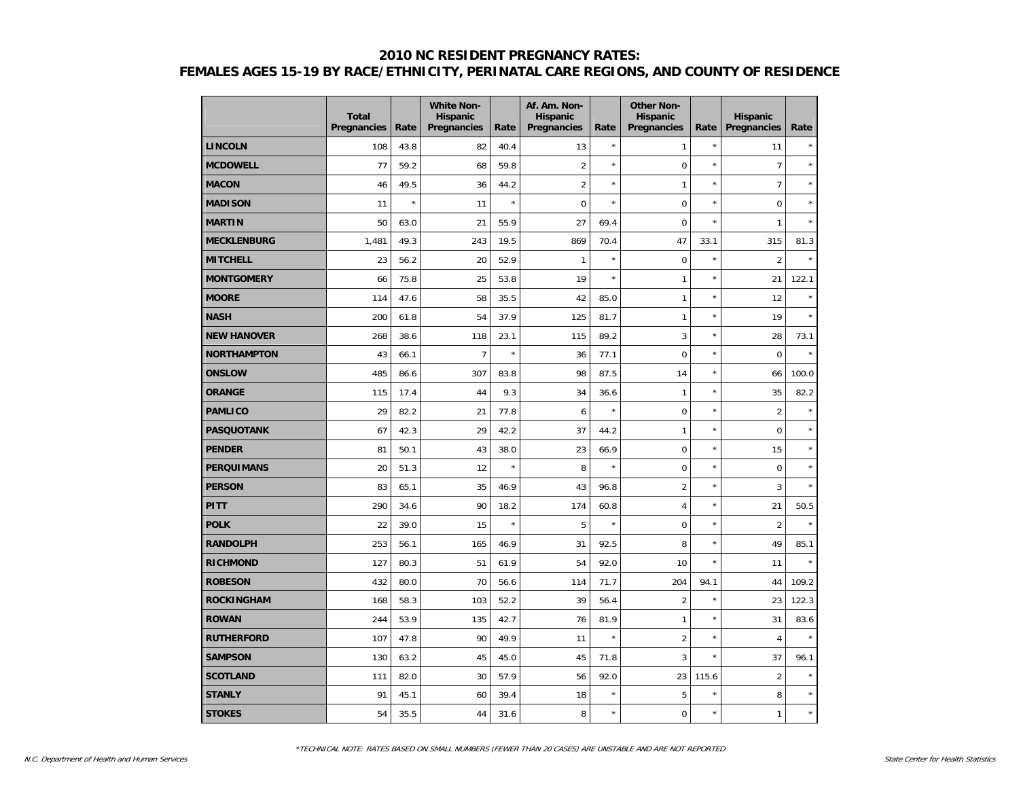|                    | <b>Total</b><br>Pregnancies | Rate    | <b>White Non-</b><br><b>Hispanic</b><br>Pregnancies | Rate    | Af. Am. Non-<br><b>Hispanic</b><br>Pregnancies | Rate    | <b>Other Non-</b><br><b>Hispanic</b><br>Pregnancies | Rate    | <b>Hispanic</b><br>Pregnancies | Rate    |
|--------------------|-----------------------------|---------|-----------------------------------------------------|---------|------------------------------------------------|---------|-----------------------------------------------------|---------|--------------------------------|---------|
| <b>LINCOLN</b>     | 108                         | 43.8    | 82                                                  | 40.4    | 13                                             | $\star$ | 1                                                   | $\star$ | 11                             | $\star$ |
| <b>MCDOWELL</b>    | 77                          | 59.2    | 68                                                  | 59.8    | $\overline{2}$                                 | $\star$ | 0                                                   | $\star$ | $\overline{7}$                 | $\star$ |
| <b>MACON</b>       | 46                          | 49.5    | 36                                                  | 44.2    | $\overline{2}$                                 | $\star$ | 1                                                   | $\star$ | $\overline{7}$                 | $\star$ |
| <b>MADISON</b>     | 11                          | $\star$ | 11                                                  | $\star$ | $\mathbf 0$                                    | $\star$ | $\overline{0}$                                      | $\star$ | $\overline{0}$                 | $\star$ |
| <b>MARTIN</b>      | 50                          | 63.0    | 21                                                  | 55.9    | 27                                             | 69.4    | $\pmb{0}$                                           | $\star$ | 1                              | $\star$ |
| <b>MECKLENBURG</b> | 1,481                       | 49.3    | 243                                                 | 19.5    | 869                                            | 70.4    | 47                                                  | 33.1    | 315                            | 81.3    |
| <b>MITCHELL</b>    | 23                          | 56.2    | 20                                                  | 52.9    | $\mathbf{1}$                                   | $\star$ | $\mathbf 0$                                         | $\star$ | $\overline{2}$                 | $\star$ |
| <b>MONTGOMERY</b>  | 66                          | 75.8    | 25                                                  | 53.8    | 19                                             | $\star$ | 1                                                   | $\star$ | 21                             | 122.1   |
| <b>MOORE</b>       | 114                         | 47.6    | 58                                                  | 35.5    | 42                                             | 85.0    | 1                                                   | $\star$ | 12                             | $\star$ |
| <b>NASH</b>        | 200                         | 61.8    | 54                                                  | 37.9    | 125                                            | 81.7    | 1                                                   | $\star$ | 19                             | $\star$ |
| <b>NEW HANOVER</b> | 268                         | 38.6    | 118                                                 | 23.1    | 115                                            | 89.2    | 3                                                   | $\star$ | 28                             | 73.1    |
| <b>NORTHAMPTON</b> | 43                          | 66.1    | $\overline{7}$                                      | $\star$ | 36                                             | 77.1    | $\pmb{0}$                                           | $\star$ | $\mathbf 0$                    | $\star$ |
| <b>ONSLOW</b>      | 485                         | 86.6    | 307                                                 | 83.8    | 98                                             | 87.5    | 14                                                  | $\star$ | 66                             | 100.0   |
| <b>ORANGE</b>      | 115                         | 17.4    | 44                                                  | 9.3     | 34                                             | 36.6    | 1                                                   | $\star$ | 35                             | 82.2    |
| <b>PAMLICO</b>     | 29                          | 82.2    | 21                                                  | 77.8    | 6                                              | $\star$ | $\mathbf 0$                                         | $\star$ | $\overline{2}$                 | $\star$ |
| <b>PASQUOTANK</b>  | 67                          | 42.3    | 29                                                  | 42.2    | 37                                             | 44.2    | 1                                                   | $\star$ | $\mathbf 0$                    | $\star$ |
| <b>PENDER</b>      | 81                          | 50.1    | 43                                                  | 38.0    | 23                                             | 66.9    | $\mathbf 0$                                         | $\star$ | 15                             | $\star$ |
| <b>PERQUIMANS</b>  | 20                          | 51.3    | 12                                                  | $\star$ | 8                                              | $\star$ | 0                                                   | $\star$ | $\mathbf 0$                    | $\star$ |
| <b>PERSON</b>      | 83                          | 65.1    | 35                                                  | 46.9    | 43                                             | 96.8    | $\overline{2}$                                      | $\star$ | 3                              | $\star$ |
| <b>PITT</b>        | 290                         | 34.6    | 90                                                  | 18.2    | 174                                            | 60.8    | 4                                                   | $\star$ | 21                             | 50.5    |
| <b>POLK</b>        | 22                          | 39.0    | 15                                                  | $\star$ | 5                                              | $\star$ | 0                                                   | $\star$ | $\overline{2}$                 | $\star$ |
| <b>RANDOLPH</b>    | 253                         | 56.1    | 165                                                 | 46.9    | 31                                             | 92.5    | 8                                                   | $\star$ | 49                             | 85.1    |
| <b>RICHMOND</b>    | 127                         | 80.3    | 51                                                  | 61.9    | 54                                             | 92.0    | 10                                                  | $\star$ | 11                             | $\star$ |
| <b>ROBESON</b>     | 432                         | 80.0    | 70                                                  | 56.6    | 114                                            | 71.7    | 204                                                 | 94.1    | 44                             | 109.2   |
| <b>ROCKINGHAM</b>  | 168                         | 58.3    | 103                                                 | 52.2    | 39                                             | 56.4    | $\overline{c}$                                      | $\star$ | 23                             | 122.3   |
| <b>ROWAN</b>       | 244                         | 53.9    | 135                                                 | 42.7    | 76                                             | 81.9    | 1                                                   | $\star$ | 31                             | 83.6    |
| <b>RUTHERFORD</b>  | 107                         | 47.8    | 90                                                  | 49.9    | 11                                             | $\star$ | $\overline{2}$                                      | $\star$ | $\overline{4}$                 | $\star$ |
| <b>SAMPSON</b>     | 130                         | 63.2    | 45                                                  | 45.0    | 45                                             | 71.8    | 3                                                   | $\star$ | 37                             | 96.1    |
| <b>SCOTLAND</b>    | 111                         | 82.0    | 30                                                  | 57.9    | 56                                             | 92.0    | 23                                                  | 115.6   | $\overline{2}$                 | $\star$ |
| <b>STANLY</b>      | 91                          | 45.1    | 60                                                  | 39.4    | 18                                             | $\star$ | 5                                                   | $\star$ | 8                              | $\star$ |
| <b>STOKES</b>      | 54                          | 35.5    | 44                                                  | 31.6    | 8                                              | $\star$ | 0                                                   | $\star$ | $\mathbf{1}$                   | $\star$ |